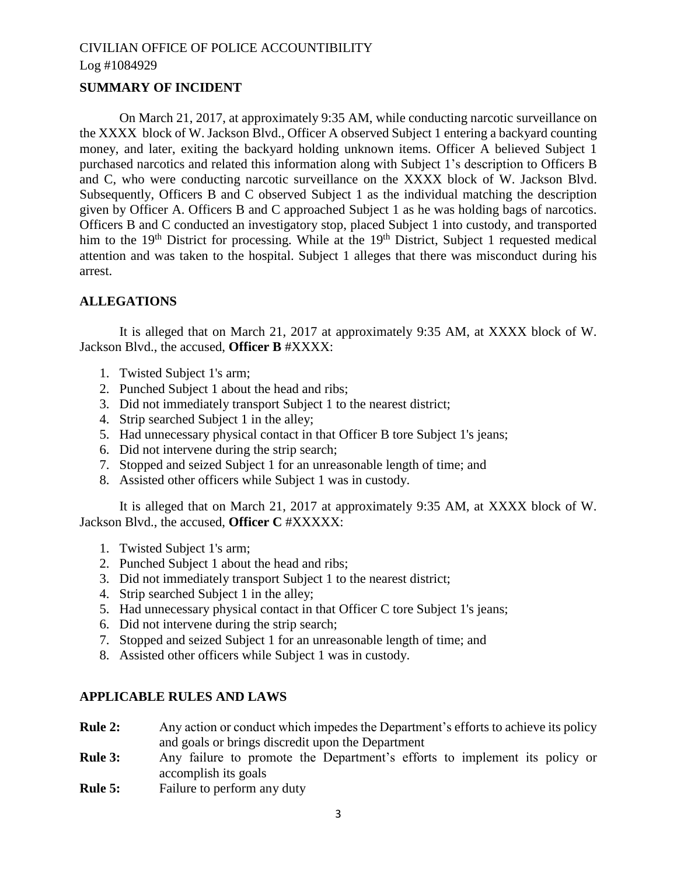## **SUMMARY OF INCIDENT**

On March 21, 2017, at approximately 9:35 AM, while conducting narcotic surveillance on the XXXX block of W. Jackson Blvd., Officer A observed Subject 1 entering a backyard counting money, and later, exiting the backyard holding unknown items. Officer A believed Subject 1 purchased narcotics and related this information along with Subject 1's description to Officers B and C, who were conducting narcotic surveillance on the XXXX block of W. Jackson Blvd. Subsequently, Officers B and C observed Subject 1 as the individual matching the description given by Officer A. Officers B and C approached Subject 1 as he was holding bags of narcotics. Officers B and C conducted an investigatory stop, placed Subject 1 into custody, and transported him to the  $19<sup>th</sup>$  District for processing. While at the  $19<sup>th</sup>$  District, Subject 1 requested medical attention and was taken to the hospital. Subject 1 alleges that there was misconduct during his arrest.

## **ALLEGATIONS**

It is alleged that on March 21, 2017 at approximately 9:35 AM, at XXXX block of W. Jackson Blvd., the accused, **Officer B** #XXXX:

- 1. Twisted Subject 1's arm;
- 2. Punched Subject 1 about the head and ribs;
- 3. Did not immediately transport Subject 1 to the nearest district;
- 4. Strip searched Subject 1 in the alley;
- 5. Had unnecessary physical contact in that Officer B tore Subject 1's jeans;
- 6. Did not intervene during the strip search;
- 7. Stopped and seized Subject 1 for an unreasonable length of time; and
- 8. Assisted other officers while Subject 1 was in custody.

It is alleged that on March 21, 2017 at approximately 9:35 AM, at XXXX block of W. Jackson Blvd., the accused, **Officer C** #XXXXX:

- 1. Twisted Subject 1's arm;
- 2. Punched Subject 1 about the head and ribs;
- 3. Did not immediately transport Subject 1 to the nearest district;
- 4. Strip searched Subject 1 in the alley;
- 5. Had unnecessary physical contact in that Officer C tore Subject 1's jeans;
- 6. Did not intervene during the strip search;
- 7. Stopped and seized Subject 1 for an unreasonable length of time; and
- 8. Assisted other officers while Subject 1 was in custody.

## **APPLICABLE RULES AND LAWS**

- **Rule 2:** Any action or conduct which impedes the Department's efforts to achieve its policy and goals or brings discredit upon the Department
- **Rule 3:** Any failure to promote the Department's efforts to implement its policy or accomplish its goals
- **Rule 5:** Failure to perform any duty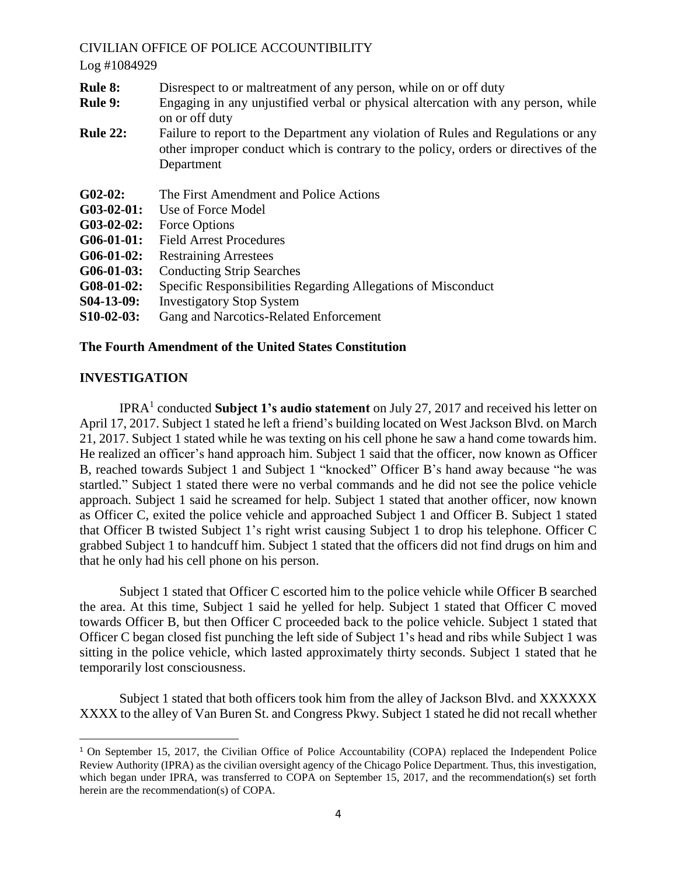#### Log #1084929

- **Rule 8:** Disrespect to or maltreatment of any person, while on or off duty
- **Rule 9:** Engaging in any unjustified verbal or physical altercation with any person, while on or off duty
- **Rule 22:** Failure to report to the Department any violation of Rules and Regulations or any other improper conduct which is contrary to the policy, orders or directives of the Department
- **G02-02:** The First Amendment and Police Actions
- **G03-02-01:** Use of Force Model
- **G03-02-02:** Force Options
- **G06-01-01:** Field Arrest Procedures
- **G06-01-02:** Restraining Arrestees
- **G06-01-03:** Conducting Strip Searches
- **G08-01-02:** Specific Responsibilities Regarding Allegations of Misconduct
- **S04-13-09:** Investigatory Stop System
- **S10-02-03:** Gang and Narcotics-Related Enforcement

## **The Fourth Amendment of the United States Constitution**

## **INVESTIGATION**

 $\overline{a}$ 

IPRA<sup>1</sup> conducted **Subject 1's audio statement** on July 27, 2017 and received his letter on April 17, 2017. Subject 1 stated he left a friend's building located on West Jackson Blvd. on March 21, 2017. Subject 1 stated while he was texting on his cell phone he saw a hand come towards him. He realized an officer's hand approach him. Subject 1 said that the officer, now known as Officer B, reached towards Subject 1 and Subject 1 "knocked" Officer B's hand away because "he was startled." Subject 1 stated there were no verbal commands and he did not see the police vehicle approach. Subject 1 said he screamed for help. Subject 1 stated that another officer, now known as Officer C, exited the police vehicle and approached Subject 1 and Officer B. Subject 1 stated that Officer B twisted Subject 1's right wrist causing Subject 1 to drop his telephone. Officer C grabbed Subject 1 to handcuff him. Subject 1 stated that the officers did not find drugs on him and that he only had his cell phone on his person.

Subject 1 stated that Officer C escorted him to the police vehicle while Officer B searched the area. At this time, Subject 1 said he yelled for help. Subject 1 stated that Officer C moved towards Officer B, but then Officer C proceeded back to the police vehicle. Subject 1 stated that Officer C began closed fist punching the left side of Subject 1's head and ribs while Subject 1 was sitting in the police vehicle, which lasted approximately thirty seconds. Subject 1 stated that he temporarily lost consciousness.

Subject 1 stated that both officers took him from the alley of Jackson Blvd. and XXXXXX XXXX to the alley of Van Buren St. and Congress Pkwy. Subject 1 stated he did not recall whether

<sup>&</sup>lt;sup>1</sup> On September 15, 2017, the Civilian Office of Police Accountability (COPA) replaced the Independent Police Review Authority (IPRA) as the civilian oversight agency of the Chicago Police Department. Thus, this investigation, which began under IPRA, was transferred to COPA on September 15, 2017, and the recommendation(s) set forth herein are the recommendation(s) of COPA.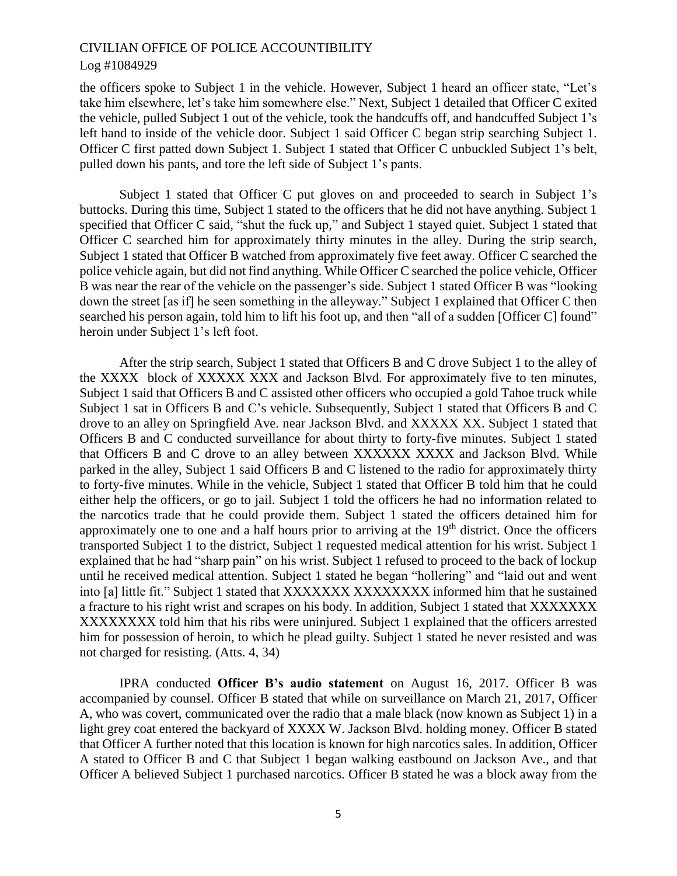the officers spoke to Subject 1 in the vehicle. However, Subject 1 heard an officer state, "Let's take him elsewhere, let's take him somewhere else." Next, Subject 1 detailed that Officer C exited the vehicle, pulled Subject 1 out of the vehicle, took the handcuffs off, and handcuffed Subject 1's left hand to inside of the vehicle door. Subject 1 said Officer C began strip searching Subject 1. Officer C first patted down Subject 1. Subject 1 stated that Officer C unbuckled Subject 1's belt, pulled down his pants, and tore the left side of Subject 1's pants.

Subject 1 stated that Officer C put gloves on and proceeded to search in Subject 1's buttocks. During this time, Subject 1 stated to the officers that he did not have anything. Subject 1 specified that Officer C said, "shut the fuck up," and Subject 1 stayed quiet. Subject 1 stated that Officer C searched him for approximately thirty minutes in the alley. During the strip search, Subject 1 stated that Officer B watched from approximately five feet away. Officer C searched the police vehicle again, but did not find anything. While Officer C searched the police vehicle, Officer B was near the rear of the vehicle on the passenger's side. Subject 1 stated Officer B was "looking down the street [as if] he seen something in the alleyway." Subject 1 explained that Officer C then searched his person again, told him to lift his foot up, and then "all of a sudden [Officer C] found" heroin under Subject 1's left foot.

After the strip search, Subject 1 stated that Officers B and C drove Subject 1 to the alley of the XXXX block of XXXXX XXX and Jackson Blvd. For approximately five to ten minutes, Subject 1 said that Officers B and C assisted other officers who occupied a gold Tahoe truck while Subject 1 sat in Officers B and C's vehicle. Subsequently, Subject 1 stated that Officers B and C drove to an alley on Springfield Ave. near Jackson Blvd. and XXXXX XX. Subject 1 stated that Officers B and C conducted surveillance for about thirty to forty-five minutes. Subject 1 stated that Officers B and C drove to an alley between XXXXXX XXXX and Jackson Blvd. While parked in the alley, Subject 1 said Officers B and C listened to the radio for approximately thirty to forty-five minutes. While in the vehicle, Subject 1 stated that Officer B told him that he could either help the officers, or go to jail. Subject 1 told the officers he had no information related to the narcotics trade that he could provide them. Subject 1 stated the officers detained him for approximately one to one and a half hours prior to arriving at the  $19<sup>th</sup>$  district. Once the officers transported Subject 1 to the district, Subject 1 requested medical attention for his wrist. Subject 1 explained that he had "sharp pain" on his wrist. Subject 1 refused to proceed to the back of lockup until he received medical attention. Subject 1 stated he began "hollering" and "laid out and went into [a] little fit." Subject 1 stated that XXXXXXXX XXXXXXXX informed him that he sustained a fracture to his right wrist and scrapes on his body. In addition, Subject 1 stated that XXXXXXX XXXXXXXX told him that his ribs were uninjured. Subject 1 explained that the officers arrested him for possession of heroin, to which he plead guilty. Subject 1 stated he never resisted and was not charged for resisting. (Atts. 4, 34)

IPRA conducted **Officer B's audio statement** on August 16, 2017. Officer B was accompanied by counsel. Officer B stated that while on surveillance on March 21, 2017, Officer A, who was covert, communicated over the radio that a male black (now known as Subject 1) in a light grey coat entered the backyard of XXXX W. Jackson Blvd. holding money. Officer B stated that Officer A further noted that this location is known for high narcotics sales. In addition, Officer A stated to Officer B and C that Subject 1 began walking eastbound on Jackson Ave., and that Officer A believed Subject 1 purchased narcotics. Officer B stated he was a block away from the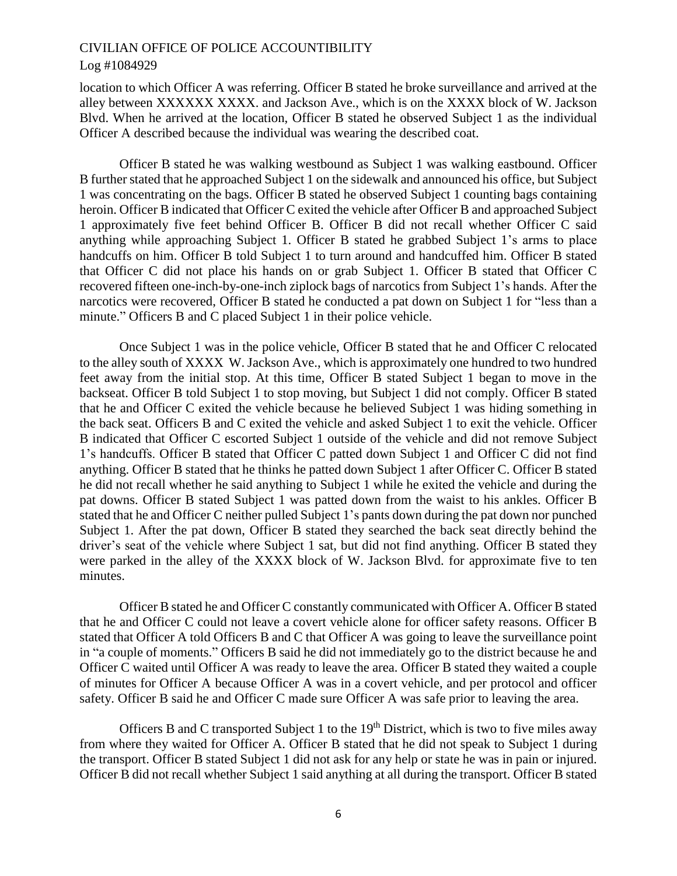location to which Officer A was referring. Officer B stated he broke surveillance and arrived at the alley between XXXXXX XXXX. and Jackson Ave., which is on the XXXX block of W. Jackson Blvd. When he arrived at the location, Officer B stated he observed Subject 1 as the individual Officer A described because the individual was wearing the described coat.

Officer B stated he was walking westbound as Subject 1 was walking eastbound. Officer B further stated that he approached Subject 1 on the sidewalk and announced his office, but Subject 1 was concentrating on the bags. Officer B stated he observed Subject 1 counting bags containing heroin. Officer B indicated that Officer C exited the vehicle after Officer B and approached Subject 1 approximately five feet behind Officer B. Officer B did not recall whether Officer C said anything while approaching Subject 1. Officer B stated he grabbed Subject 1's arms to place handcuffs on him. Officer B told Subject 1 to turn around and handcuffed him. Officer B stated that Officer C did not place his hands on or grab Subject 1. Officer B stated that Officer C recovered fifteen one-inch-by-one-inch ziplock bags of narcotics from Subject 1's hands. After the narcotics were recovered, Officer B stated he conducted a pat down on Subject 1 for "less than a minute." Officers B and C placed Subject 1 in their police vehicle.

Once Subject 1 was in the police vehicle, Officer B stated that he and Officer C relocated to the alley south of XXXX W. Jackson Ave., which is approximately one hundred to two hundred feet away from the initial stop. At this time, Officer B stated Subject 1 began to move in the backseat. Officer B told Subject 1 to stop moving, but Subject 1 did not comply. Officer B stated that he and Officer C exited the vehicle because he believed Subject 1 was hiding something in the back seat. Officers B and C exited the vehicle and asked Subject 1 to exit the vehicle. Officer B indicated that Officer C escorted Subject 1 outside of the vehicle and did not remove Subject 1's handcuffs. Officer B stated that Officer C patted down Subject 1 and Officer C did not find anything. Officer B stated that he thinks he patted down Subject 1 after Officer C. Officer B stated he did not recall whether he said anything to Subject 1 while he exited the vehicle and during the pat downs. Officer B stated Subject 1 was patted down from the waist to his ankles. Officer B stated that he and Officer C neither pulled Subject 1's pants down during the pat down nor punched Subject 1. After the pat down, Officer B stated they searched the back seat directly behind the driver's seat of the vehicle where Subject 1 sat, but did not find anything. Officer B stated they were parked in the alley of the XXXX block of W. Jackson Blvd. for approximate five to ten minutes.

Officer B stated he and Officer C constantly communicated with Officer A. Officer B stated that he and Officer C could not leave a covert vehicle alone for officer safety reasons. Officer B stated that Officer A told Officers B and C that Officer A was going to leave the surveillance point in "a couple of moments." Officers B said he did not immediately go to the district because he and Officer C waited until Officer A was ready to leave the area. Officer B stated they waited a couple of minutes for Officer A because Officer A was in a covert vehicle, and per protocol and officer safety. Officer B said he and Officer C made sure Officer A was safe prior to leaving the area.

Officers B and C transported Subject 1 to the  $19<sup>th</sup>$  District, which is two to five miles away from where they waited for Officer A. Officer B stated that he did not speak to Subject 1 during the transport. Officer B stated Subject 1 did not ask for any help or state he was in pain or injured. Officer B did not recall whether Subject 1 said anything at all during the transport. Officer B stated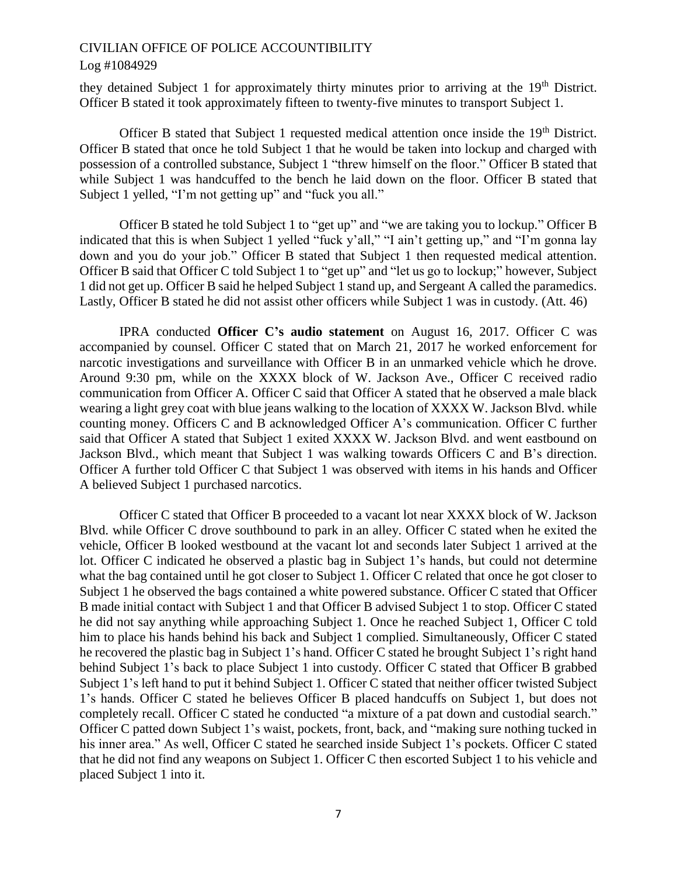they detained Subject 1 for approximately thirty minutes prior to arriving at the 19<sup>th</sup> District. Officer B stated it took approximately fifteen to twenty-five minutes to transport Subject 1.

Officer B stated that Subject 1 requested medical attention once inside the 19<sup>th</sup> District. Officer B stated that once he told Subject 1 that he would be taken into lockup and charged with possession of a controlled substance, Subject 1 "threw himself on the floor." Officer B stated that while Subject 1 was handcuffed to the bench he laid down on the floor. Officer B stated that Subject 1 yelled, "I'm not getting up" and "fuck you all."

Officer B stated he told Subject 1 to "get up" and "we are taking you to lockup." Officer B indicated that this is when Subject 1 yelled "fuck y'all," "I ain't getting up," and "I'm gonna lay down and you do your job." Officer B stated that Subject 1 then requested medical attention. Officer B said that Officer C told Subject 1 to "get up" and "let us go to lockup;" however, Subject 1 did not get up. Officer B said he helped Subject 1 stand up, and Sergeant A called the paramedics. Lastly, Officer B stated he did not assist other officers while Subject 1 was in custody. (Att. 46)

IPRA conducted **Officer C's audio statement** on August 16, 2017. Officer C was accompanied by counsel. Officer C stated that on March 21, 2017 he worked enforcement for narcotic investigations and surveillance with Officer B in an unmarked vehicle which he drove. Around 9:30 pm, while on the XXXX block of W. Jackson Ave., Officer C received radio communication from Officer A. Officer C said that Officer A stated that he observed a male black wearing a light grey coat with blue jeans walking to the location of XXXX W. Jackson Blvd. while counting money. Officers C and B acknowledged Officer A's communication. Officer C further said that Officer A stated that Subject 1 exited XXXX W. Jackson Blvd. and went eastbound on Jackson Blvd., which meant that Subject 1 was walking towards Officers C and B's direction. Officer A further told Officer C that Subject 1 was observed with items in his hands and Officer A believed Subject 1 purchased narcotics.

Officer C stated that Officer B proceeded to a vacant lot near XXXX block of W. Jackson Blvd. while Officer C drove southbound to park in an alley. Officer C stated when he exited the vehicle, Officer B looked westbound at the vacant lot and seconds later Subject 1 arrived at the lot. Officer C indicated he observed a plastic bag in Subject 1's hands, but could not determine what the bag contained until he got closer to Subject 1. Officer C related that once he got closer to Subject 1 he observed the bags contained a white powered substance. Officer C stated that Officer B made initial contact with Subject 1 and that Officer B advised Subject 1 to stop. Officer C stated he did not say anything while approaching Subject 1. Once he reached Subject 1, Officer C told him to place his hands behind his back and Subject 1 complied. Simultaneously, Officer C stated he recovered the plastic bag in Subject 1's hand. Officer C stated he brought Subject 1's right hand behind Subject 1's back to place Subject 1 into custody. Officer C stated that Officer B grabbed Subject 1's left hand to put it behind Subject 1. Officer C stated that neither officer twisted Subject 1's hands. Officer C stated he believes Officer B placed handcuffs on Subject 1, but does not completely recall. Officer C stated he conducted "a mixture of a pat down and custodial search." Officer C patted down Subject 1's waist, pockets, front, back, and "making sure nothing tucked in his inner area." As well, Officer C stated he searched inside Subject 1's pockets. Officer C stated that he did not find any weapons on Subject 1. Officer C then escorted Subject 1 to his vehicle and placed Subject 1 into it.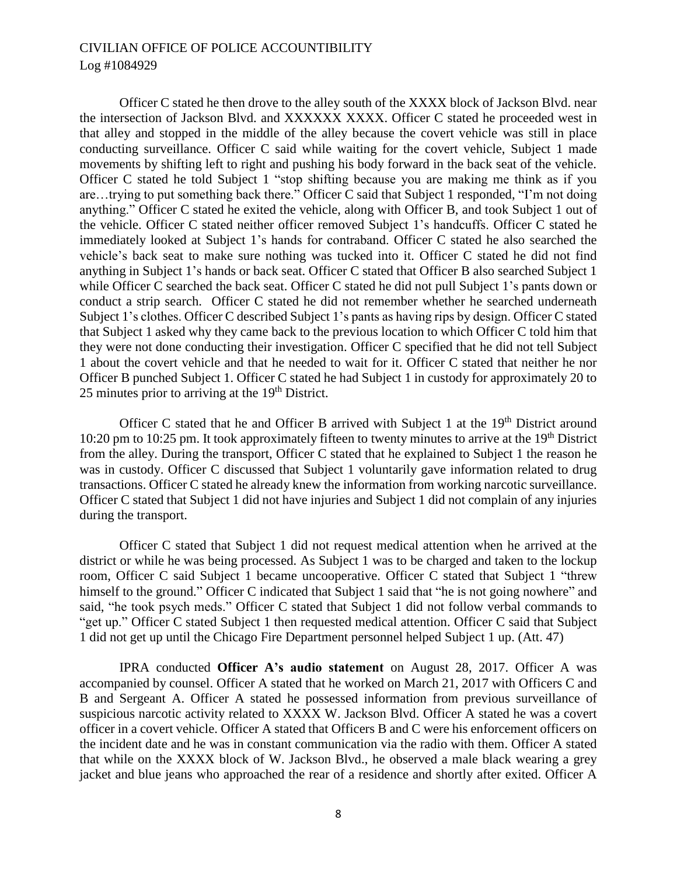Officer C stated he then drove to the alley south of the XXXX block of Jackson Blvd. near the intersection of Jackson Blvd. and XXXXXX XXXX. Officer C stated he proceeded west in that alley and stopped in the middle of the alley because the covert vehicle was still in place conducting surveillance. Officer C said while waiting for the covert vehicle, Subject 1 made movements by shifting left to right and pushing his body forward in the back seat of the vehicle. Officer C stated he told Subject 1 "stop shifting because you are making me think as if you are…trying to put something back there." Officer C said that Subject 1 responded, "I'm not doing anything." Officer C stated he exited the vehicle, along with Officer B, and took Subject 1 out of the vehicle. Officer C stated neither officer removed Subject 1's handcuffs. Officer C stated he immediately looked at Subject 1's hands for contraband. Officer C stated he also searched the vehicle's back seat to make sure nothing was tucked into it. Officer C stated he did not find anything in Subject 1's hands or back seat. Officer C stated that Officer B also searched Subject 1 while Officer C searched the back seat. Officer C stated he did not pull Subject 1's pants down or conduct a strip search. Officer C stated he did not remember whether he searched underneath Subject 1's clothes. Officer C described Subject 1's pants as having rips by design. Officer C stated that Subject 1 asked why they came back to the previous location to which Officer C told him that they were not done conducting their investigation. Officer C specified that he did not tell Subject 1 about the covert vehicle and that he needed to wait for it. Officer C stated that neither he nor Officer B punched Subject 1. Officer C stated he had Subject 1 in custody for approximately 20 to 25 minutes prior to arriving at the  $19<sup>th</sup>$  District.

Officer C stated that he and Officer B arrived with Subject 1 at the 19<sup>th</sup> District around 10:20 pm to 10:25 pm. It took approximately fifteen to twenty minutes to arrive at the 19<sup>th</sup> District from the alley. During the transport, Officer C stated that he explained to Subject 1 the reason he was in custody. Officer C discussed that Subject 1 voluntarily gave information related to drug transactions. Officer C stated he already knew the information from working narcotic surveillance. Officer C stated that Subject 1 did not have injuries and Subject 1 did not complain of any injuries during the transport.

Officer C stated that Subject 1 did not request medical attention when he arrived at the district or while he was being processed. As Subject 1 was to be charged and taken to the lockup room, Officer C said Subject 1 became uncooperative. Officer C stated that Subject 1 "threw himself to the ground." Officer C indicated that Subject 1 said that "he is not going nowhere" and said, "he took psych meds." Officer C stated that Subject 1 did not follow verbal commands to "get up." Officer C stated Subject 1 then requested medical attention. Officer C said that Subject 1 did not get up until the Chicago Fire Department personnel helped Subject 1 up. (Att. 47)

IPRA conducted **Officer A's audio statement** on August 28, 2017. Officer A was accompanied by counsel. Officer A stated that he worked on March 21, 2017 with Officers C and B and Sergeant A. Officer A stated he possessed information from previous surveillance of suspicious narcotic activity related to XXXX W. Jackson Blvd. Officer A stated he was a covert officer in a covert vehicle. Officer A stated that Officers B and C were his enforcement officers on the incident date and he was in constant communication via the radio with them. Officer A stated that while on the XXXX block of W. Jackson Blvd., he observed a male black wearing a grey jacket and blue jeans who approached the rear of a residence and shortly after exited. Officer A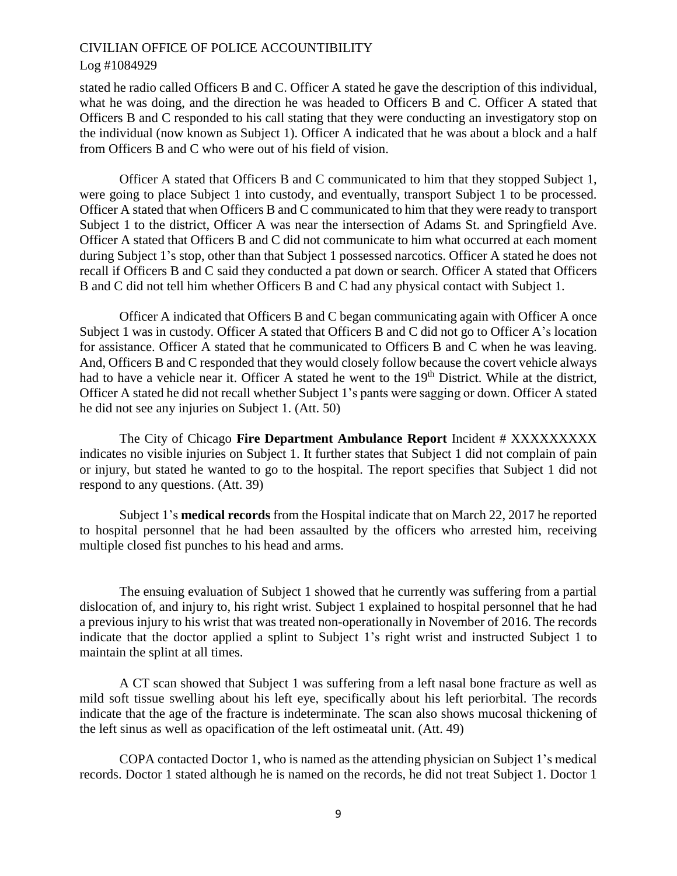stated he radio called Officers B and C. Officer A stated he gave the description of this individual, what he was doing, and the direction he was headed to Officers B and C. Officer A stated that Officers B and C responded to his call stating that they were conducting an investigatory stop on the individual (now known as Subject 1). Officer A indicated that he was about a block and a half from Officers B and C who were out of his field of vision.

Officer A stated that Officers B and C communicated to him that they stopped Subject 1, were going to place Subject 1 into custody, and eventually, transport Subject 1 to be processed. Officer A stated that when Officers B and C communicated to him that they were ready to transport Subject 1 to the district, Officer A was near the intersection of Adams St. and Springfield Ave. Officer A stated that Officers B and C did not communicate to him what occurred at each moment during Subject 1's stop, other than that Subject 1 possessed narcotics. Officer A stated he does not recall if Officers B and C said they conducted a pat down or search. Officer A stated that Officers B and C did not tell him whether Officers B and C had any physical contact with Subject 1.

Officer A indicated that Officers B and C began communicating again with Officer A once Subject 1 was in custody. Officer A stated that Officers B and C did not go to Officer A's location for assistance. Officer A stated that he communicated to Officers B and C when he was leaving. And, Officers B and C responded that they would closely follow because the covert vehicle always had to have a vehicle near it. Officer A stated he went to the 19<sup>th</sup> District. While at the district, Officer A stated he did not recall whether Subject 1's pants were sagging or down. Officer A stated he did not see any injuries on Subject 1. (Att. 50)

The City of Chicago **Fire Department Ambulance Report** Incident # XXXXXXXXX indicates no visible injuries on Subject 1. It further states that Subject 1 did not complain of pain or injury, but stated he wanted to go to the hospital. The report specifies that Subject 1 did not respond to any questions. (Att. 39)

Subject 1's **medical records** from the Hospital indicate that on March 22, 2017 he reported to hospital personnel that he had been assaulted by the officers who arrested him, receiving multiple closed fist punches to his head and arms.

The ensuing evaluation of Subject 1 showed that he currently was suffering from a partial dislocation of, and injury to, his right wrist. Subject 1 explained to hospital personnel that he had a previous injury to his wrist that was treated non-operationally in November of 2016. The records indicate that the doctor applied a splint to Subject 1's right wrist and instructed Subject 1 to maintain the splint at all times.

A CT scan showed that Subject 1 was suffering from a left nasal bone fracture as well as mild soft tissue swelling about his left eye, specifically about his left periorbital. The records indicate that the age of the fracture is indeterminate. The scan also shows mucosal thickening of the left sinus as well as opacification of the left ostimeatal unit. (Att. 49)

COPA contacted Doctor 1, who is named as the attending physician on Subject 1's medical records. Doctor 1 stated although he is named on the records, he did not treat Subject 1. Doctor 1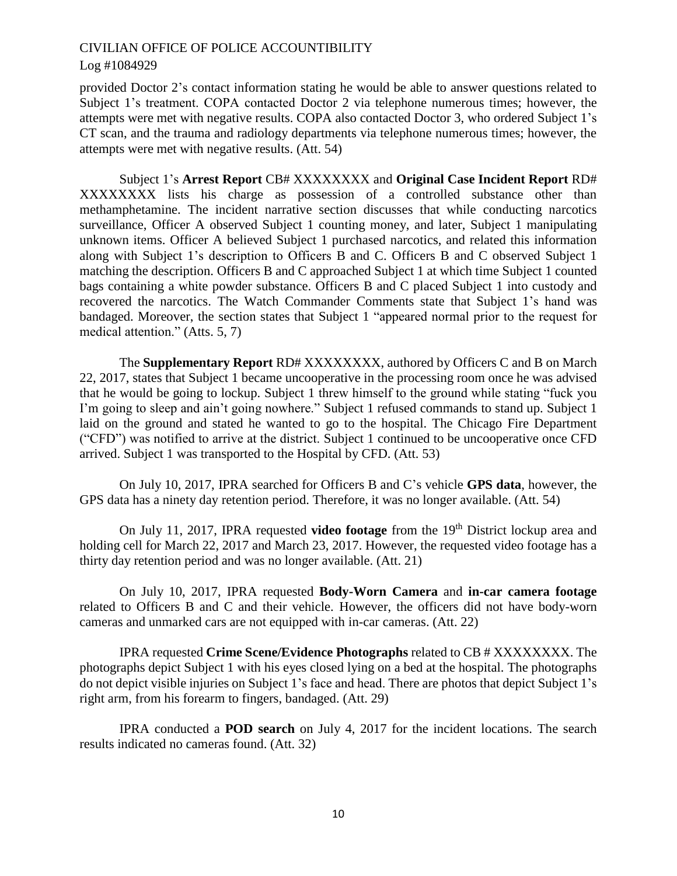provided Doctor 2's contact information stating he would be able to answer questions related to Subject 1's treatment. COPA contacted Doctor 2 via telephone numerous times; however, the attempts were met with negative results. COPA also contacted Doctor 3, who ordered Subject 1's CT scan, and the trauma and radiology departments via telephone numerous times; however, the attempts were met with negative results. (Att. 54)

Subject 1's **Arrest Report** CB# XXXXXXXX and **Original Case Incident Report** RD# XXXXXXXX lists his charge as possession of a controlled substance other than methamphetamine. The incident narrative section discusses that while conducting narcotics surveillance, Officer A observed Subject 1 counting money, and later, Subject 1 manipulating unknown items. Officer A believed Subject 1 purchased narcotics, and related this information along with Subject 1's description to Officers B and C. Officers B and C observed Subject 1 matching the description. Officers B and C approached Subject 1 at which time Subject 1 counted bags containing a white powder substance. Officers B and C placed Subject 1 into custody and recovered the narcotics. The Watch Commander Comments state that Subject 1's hand was bandaged. Moreover, the section states that Subject 1 "appeared normal prior to the request for medical attention." (Atts. 5, 7)

The **Supplementary Report** RD# XXXXXXXX, authored by Officers C and B on March 22, 2017, states that Subject 1 became uncooperative in the processing room once he was advised that he would be going to lockup. Subject 1 threw himself to the ground while stating "fuck you I'm going to sleep and ain't going nowhere." Subject 1 refused commands to stand up. Subject 1 laid on the ground and stated he wanted to go to the hospital. The Chicago Fire Department ("CFD") was notified to arrive at the district. Subject 1 continued to be uncooperative once CFD arrived. Subject 1 was transported to the Hospital by CFD. (Att. 53)

On July 10, 2017, IPRA searched for Officers B and C's vehicle **GPS data**, however, the GPS data has a ninety day retention period. Therefore, it was no longer available. (Att. 54)

On July 11, 2017, IPRA requested **video footage** from the 19th District lockup area and holding cell for March 22, 2017 and March 23, 2017. However, the requested video footage has a thirty day retention period and was no longer available. (Att. 21)

On July 10, 2017, IPRA requested **Body-Worn Camera** and **in-car camera footage** related to Officers B and C and their vehicle. However, the officers did not have body-worn cameras and unmarked cars are not equipped with in-car cameras. (Att. 22)

IPRA requested **Crime Scene/Evidence Photographs** related to CB # XXXXXXXX. The photographs depict Subject 1 with his eyes closed lying on a bed at the hospital. The photographs do not depict visible injuries on Subject 1's face and head. There are photos that depict Subject 1's right arm, from his forearm to fingers, bandaged. (Att. 29)

IPRA conducted a **POD search** on July 4, 2017 for the incident locations. The search results indicated no cameras found. (Att. 32)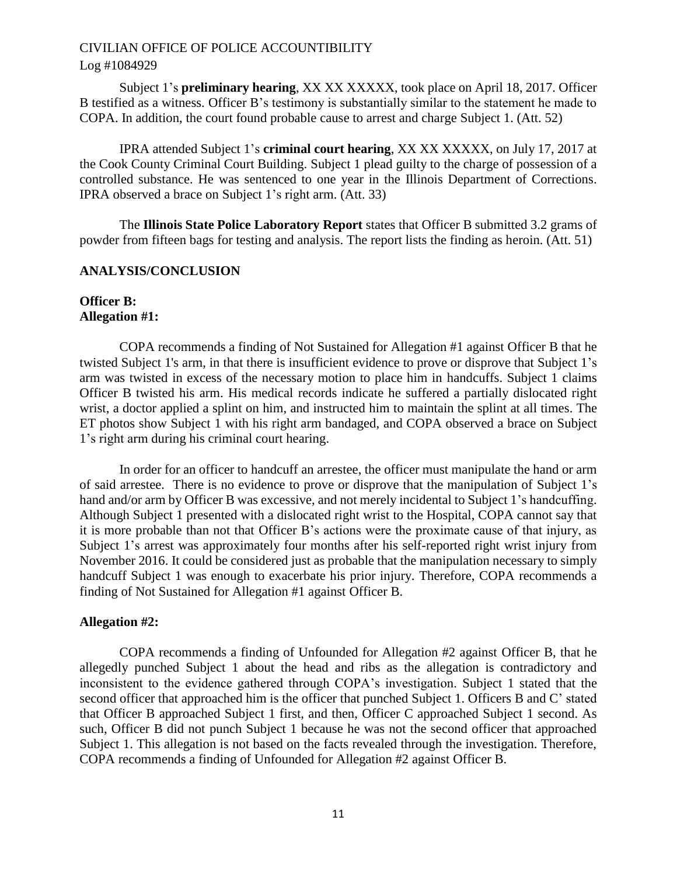## Log #1084929

Subject 1's **preliminary hearing**, XX XX XXXXX, took place on April 18, 2017. Officer B testified as a witness. Officer B's testimony is substantially similar to the statement he made to COPA. In addition, the court found probable cause to arrest and charge Subject 1. (Att. 52)

IPRA attended Subject 1's **criminal court hearing**, XX XX XXXXX, on July 17, 2017 at the Cook County Criminal Court Building. Subject 1 plead guilty to the charge of possession of a controlled substance. He was sentenced to one year in the Illinois Department of Corrections. IPRA observed a brace on Subject 1's right arm. (Att. 33)

The **Illinois State Police Laboratory Report** states that Officer B submitted 3.2 grams of powder from fifteen bags for testing and analysis. The report lists the finding as heroin. (Att. 51)

## **ANALYSIS/CONCLUSION**

## **Officer B: Allegation #1:**

COPA recommends a finding of Not Sustained for Allegation #1 against Officer B that he twisted Subject 1's arm, in that there is insufficient evidence to prove or disprove that Subject 1's arm was twisted in excess of the necessary motion to place him in handcuffs. Subject 1 claims Officer B twisted his arm. His medical records indicate he suffered a partially dislocated right wrist, a doctor applied a splint on him, and instructed him to maintain the splint at all times. The ET photos show Subject 1 with his right arm bandaged, and COPA observed a brace on Subject 1's right arm during his criminal court hearing.

In order for an officer to handcuff an arrestee, the officer must manipulate the hand or arm of said arrestee. There is no evidence to prove or disprove that the manipulation of Subject 1's hand and/or arm by Officer B was excessive, and not merely incidental to Subject 1's handcuffing. Although Subject 1 presented with a dislocated right wrist to the Hospital, COPA cannot say that it is more probable than not that Officer B's actions were the proximate cause of that injury, as Subject 1's arrest was approximately four months after his self-reported right wrist injury from November 2016. It could be considered just as probable that the manipulation necessary to simply handcuff Subject 1 was enough to exacerbate his prior injury. Therefore, COPA recommends a finding of Not Sustained for Allegation #1 against Officer B.

## **Allegation #2:**

COPA recommends a finding of Unfounded for Allegation #2 against Officer B, that he allegedly punched Subject 1 about the head and ribs as the allegation is contradictory and inconsistent to the evidence gathered through COPA's investigation. Subject 1 stated that the second officer that approached him is the officer that punched Subject 1. Officers B and C' stated that Officer B approached Subject 1 first, and then, Officer C approached Subject 1 second. As such, Officer B did not punch Subject 1 because he was not the second officer that approached Subject 1. This allegation is not based on the facts revealed through the investigation. Therefore, COPA recommends a finding of Unfounded for Allegation #2 against Officer B.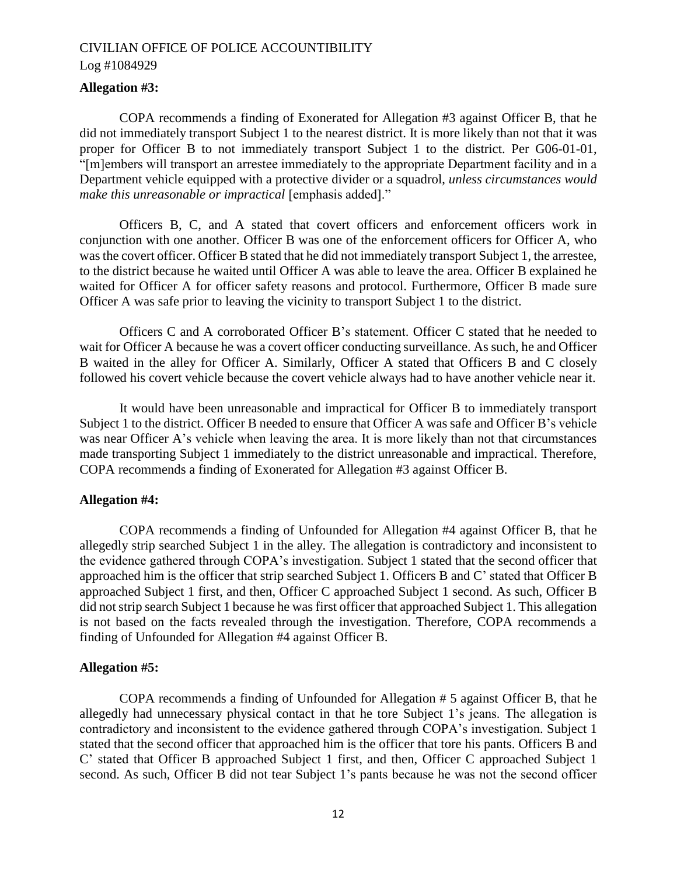## **Allegation #3:**

COPA recommends a finding of Exonerated for Allegation #3 against Officer B, that he did not immediately transport Subject 1 to the nearest district. It is more likely than not that it was proper for Officer B to not immediately transport Subject 1 to the district. Per G06-01-01, "[m]embers will transport an arrestee immediately to the appropriate Department facility and in a Department vehicle equipped with a protective divider or a squadrol, *unless circumstances would make this unreasonable or impractical* [emphasis added]."

Officers B, C, and A stated that covert officers and enforcement officers work in conjunction with one another. Officer B was one of the enforcement officers for Officer A, who was the covert officer. Officer B stated that he did not immediately transport Subject 1, the arrestee, to the district because he waited until Officer A was able to leave the area. Officer B explained he waited for Officer A for officer safety reasons and protocol. Furthermore, Officer B made sure Officer A was safe prior to leaving the vicinity to transport Subject 1 to the district.

Officers C and A corroborated Officer B's statement. Officer C stated that he needed to wait for Officer A because he was a covert officer conducting surveillance. As such, he and Officer B waited in the alley for Officer A. Similarly, Officer A stated that Officers B and C closely followed his covert vehicle because the covert vehicle always had to have another vehicle near it.

It would have been unreasonable and impractical for Officer B to immediately transport Subject 1 to the district. Officer B needed to ensure that Officer A was safe and Officer B's vehicle was near Officer A's vehicle when leaving the area. It is more likely than not that circumstances made transporting Subject 1 immediately to the district unreasonable and impractical. Therefore, COPA recommends a finding of Exonerated for Allegation #3 against Officer B.

## **Allegation #4:**

COPA recommends a finding of Unfounded for Allegation #4 against Officer B, that he allegedly strip searched Subject 1 in the alley. The allegation is contradictory and inconsistent to the evidence gathered through COPA's investigation. Subject 1 stated that the second officer that approached him is the officer that strip searched Subject 1. Officers B and C' stated that Officer B approached Subject 1 first, and then, Officer C approached Subject 1 second. As such, Officer B did not strip search Subject 1 because he was first officer that approached Subject 1. This allegation is not based on the facts revealed through the investigation. Therefore, COPA recommends a finding of Unfounded for Allegation #4 against Officer B.

#### **Allegation #5:**

COPA recommends a finding of Unfounded for Allegation # 5 against Officer B, that he allegedly had unnecessary physical contact in that he tore Subject 1's jeans. The allegation is contradictory and inconsistent to the evidence gathered through COPA's investigation. Subject 1 stated that the second officer that approached him is the officer that tore his pants. Officers B and C' stated that Officer B approached Subject 1 first, and then, Officer C approached Subject 1 second. As such, Officer B did not tear Subject 1's pants because he was not the second officer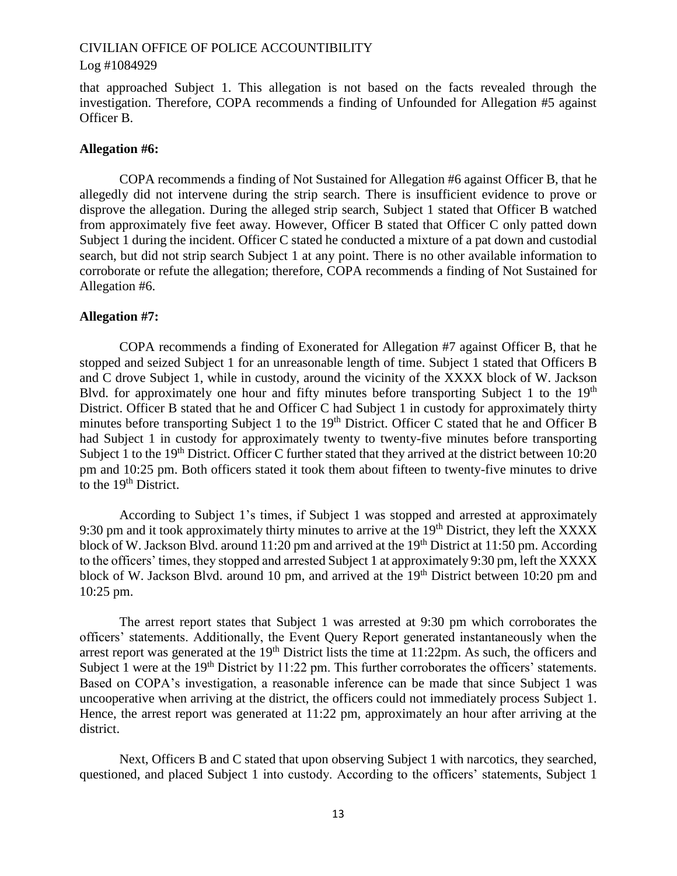#### Log #1084929

that approached Subject 1. This allegation is not based on the facts revealed through the investigation. Therefore, COPA recommends a finding of Unfounded for Allegation #5 against Officer B.

#### **Allegation #6:**

COPA recommends a finding of Not Sustained for Allegation #6 against Officer B, that he allegedly did not intervene during the strip search. There is insufficient evidence to prove or disprove the allegation. During the alleged strip search, Subject 1 stated that Officer B watched from approximately five feet away. However, Officer B stated that Officer C only patted down Subject 1 during the incident. Officer C stated he conducted a mixture of a pat down and custodial search, but did not strip search Subject 1 at any point. There is no other available information to corroborate or refute the allegation; therefore, COPA recommends a finding of Not Sustained for Allegation #6.

### **Allegation #7:**

COPA recommends a finding of Exonerated for Allegation #7 against Officer B, that he stopped and seized Subject 1 for an unreasonable length of time. Subject 1 stated that Officers B and C drove Subject 1, while in custody, around the vicinity of the XXXX block of W. Jackson Blvd. for approximately one hour and fifty minutes before transporting Subject 1 to the  $19<sup>th</sup>$ District. Officer B stated that he and Officer C had Subject 1 in custody for approximately thirty minutes before transporting Subject 1 to the 19<sup>th</sup> District. Officer C stated that he and Officer B had Subject 1 in custody for approximately twenty to twenty-five minutes before transporting Subject 1 to the 19<sup>th</sup> District. Officer C further stated that they arrived at the district between 10:20 pm and 10:25 pm. Both officers stated it took them about fifteen to twenty-five minutes to drive to the 19<sup>th</sup> District.

According to Subject 1's times, if Subject 1 was stopped and arrested at approximately 9:30 pm and it took approximately thirty minutes to arrive at the 19<sup>th</sup> District, they left the XXXX block of W. Jackson Blvd. around 11:20 pm and arrived at the 19th District at 11:50 pm. According to the officers' times, they stopped and arrested Subject 1 at approximately 9:30 pm, left the XXXX block of W. Jackson Blvd. around 10 pm, and arrived at the  $19<sup>th</sup>$  District between 10:20 pm and 10:25 pm.

The arrest report states that Subject 1 was arrested at 9:30 pm which corroborates the officers' statements. Additionally, the Event Query Report generated instantaneously when the arrest report was generated at the  $19<sup>th</sup>$  District lists the time at  $11:22$ pm. As such, the officers and Subject 1 were at the 19<sup>th</sup> District by 11:22 pm. This further corroborates the officers' statements. Based on COPA's investigation, a reasonable inference can be made that since Subject 1 was uncooperative when arriving at the district, the officers could not immediately process Subject 1. Hence, the arrest report was generated at 11:22 pm, approximately an hour after arriving at the district.

Next, Officers B and C stated that upon observing Subject 1 with narcotics, they searched, questioned, and placed Subject 1 into custody. According to the officers' statements, Subject 1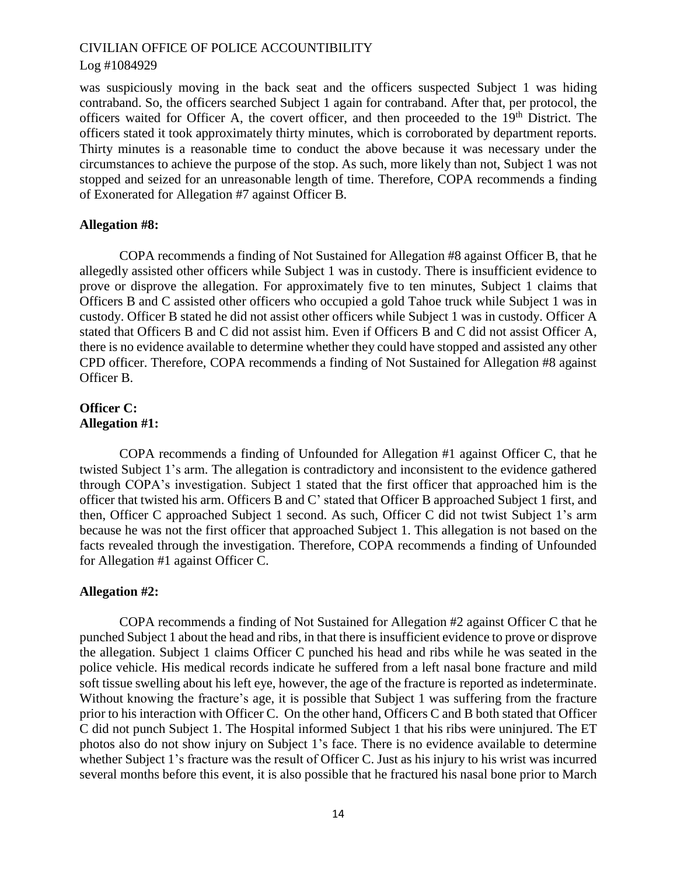## Log #1084929

was suspiciously moving in the back seat and the officers suspected Subject 1 was hiding contraband. So, the officers searched Subject 1 again for contraband. After that, per protocol, the officers waited for Officer A, the covert officer, and then proceeded to the 19<sup>th</sup> District. The officers stated it took approximately thirty minutes, which is corroborated by department reports. Thirty minutes is a reasonable time to conduct the above because it was necessary under the circumstances to achieve the purpose of the stop. As such, more likely than not, Subject 1 was not stopped and seized for an unreasonable length of time. Therefore, COPA recommends a finding of Exonerated for Allegation #7 against Officer B.

## **Allegation #8:**

COPA recommends a finding of Not Sustained for Allegation #8 against Officer B, that he allegedly assisted other officers while Subject 1 was in custody. There is insufficient evidence to prove or disprove the allegation. For approximately five to ten minutes, Subject 1 claims that Officers B and C assisted other officers who occupied a gold Tahoe truck while Subject 1 was in custody. Officer B stated he did not assist other officers while Subject 1 was in custody. Officer A stated that Officers B and C did not assist him. Even if Officers B and C did not assist Officer A, there is no evidence available to determine whether they could have stopped and assisted any other CPD officer. Therefore, COPA recommends a finding of Not Sustained for Allegation #8 against Officer B.

## **Officer C: Allegation #1:**

COPA recommends a finding of Unfounded for Allegation #1 against Officer C, that he twisted Subject 1's arm. The allegation is contradictory and inconsistent to the evidence gathered through COPA's investigation. Subject 1 stated that the first officer that approached him is the officer that twisted his arm. Officers B and C' stated that Officer B approached Subject 1 first, and then, Officer C approached Subject 1 second. As such, Officer C did not twist Subject 1's arm because he was not the first officer that approached Subject 1. This allegation is not based on the facts revealed through the investigation. Therefore, COPA recommends a finding of Unfounded for Allegation #1 against Officer C.

## **Allegation #2:**

COPA recommends a finding of Not Sustained for Allegation #2 against Officer C that he punched Subject 1 about the head and ribs, in that there is insufficient evidence to prove or disprove the allegation. Subject 1 claims Officer C punched his head and ribs while he was seated in the police vehicle. His medical records indicate he suffered from a left nasal bone fracture and mild soft tissue swelling about his left eye, however, the age of the fracture is reported as indeterminate. Without knowing the fracture's age, it is possible that Subject 1 was suffering from the fracture prior to his interaction with Officer C. On the other hand, Officers C and B both stated that Officer C did not punch Subject 1. The Hospital informed Subject 1 that his ribs were uninjured. The ET photos also do not show injury on Subject 1's face. There is no evidence available to determine whether Subject 1's fracture was the result of Officer C. Just as his injury to his wrist was incurred several months before this event, it is also possible that he fractured his nasal bone prior to March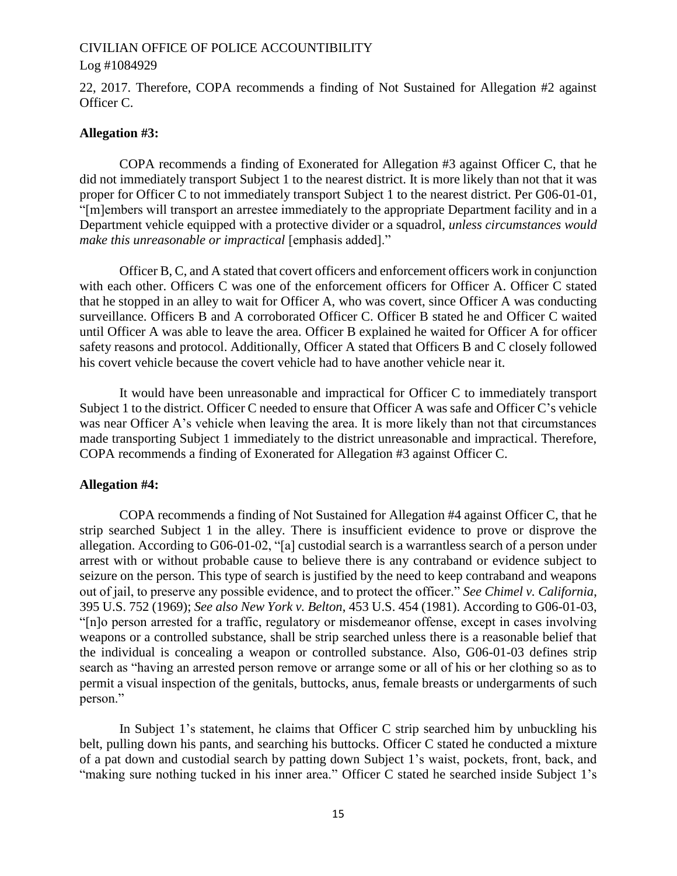#### Log #1084929

22, 2017. Therefore, COPA recommends a finding of Not Sustained for Allegation #2 against Officer C.

#### **Allegation #3:**

COPA recommends a finding of Exonerated for Allegation #3 against Officer C, that he did not immediately transport Subject 1 to the nearest district. It is more likely than not that it was proper for Officer C to not immediately transport Subject 1 to the nearest district. Per G06-01-01, "[m]embers will transport an arrestee immediately to the appropriate Department facility and in a Department vehicle equipped with a protective divider or a squadrol, *unless circumstances would make this unreasonable or impractical* [emphasis added]."

Officer B, C, and A stated that covert officers and enforcement officers work in conjunction with each other. Officers C was one of the enforcement officers for Officer A. Officer C stated that he stopped in an alley to wait for Officer A, who was covert, since Officer A was conducting surveillance. Officers B and A corroborated Officer C. Officer B stated he and Officer C waited until Officer A was able to leave the area. Officer B explained he waited for Officer A for officer safety reasons and protocol. Additionally, Officer A stated that Officers B and C closely followed his covert vehicle because the covert vehicle had to have another vehicle near it.

It would have been unreasonable and impractical for Officer C to immediately transport Subject 1 to the district. Officer C needed to ensure that Officer A was safe and Officer C's vehicle was near Officer A's vehicle when leaving the area. It is more likely than not that circumstances made transporting Subject 1 immediately to the district unreasonable and impractical. Therefore, COPA recommends a finding of Exonerated for Allegation #3 against Officer C.

#### **Allegation #4:**

COPA recommends a finding of Not Sustained for Allegation #4 against Officer C, that he strip searched Subject 1 in the alley. There is insufficient evidence to prove or disprove the allegation. According to G06-01-02, "[a] custodial search is a warrantless search of a person under arrest with or without probable cause to believe there is any contraband or evidence subject to seizure on the person. This type of search is justified by the need to keep contraband and weapons out of jail, to preserve any possible evidence, and to protect the officer." *See Chimel v. California*, 395 U.S. 752 (1969); *See also New York v. Belton*, 453 U.S. 454 (1981). According to G06-01-03, "[n]o person arrested for a traffic, regulatory or misdemeanor offense, except in cases involving weapons or a controlled substance, shall be strip searched unless there is a reasonable belief that the individual is concealing a weapon or controlled substance. Also, G06-01-03 defines strip search as "having an arrested person remove or arrange some or all of his or her clothing so as to permit a visual inspection of the genitals, buttocks, anus, female breasts or undergarments of such person."

In Subject 1's statement, he claims that Officer C strip searched him by unbuckling his belt, pulling down his pants, and searching his buttocks. Officer C stated he conducted a mixture of a pat down and custodial search by patting down Subject 1's waist, pockets, front, back, and "making sure nothing tucked in his inner area." Officer C stated he searched inside Subject 1's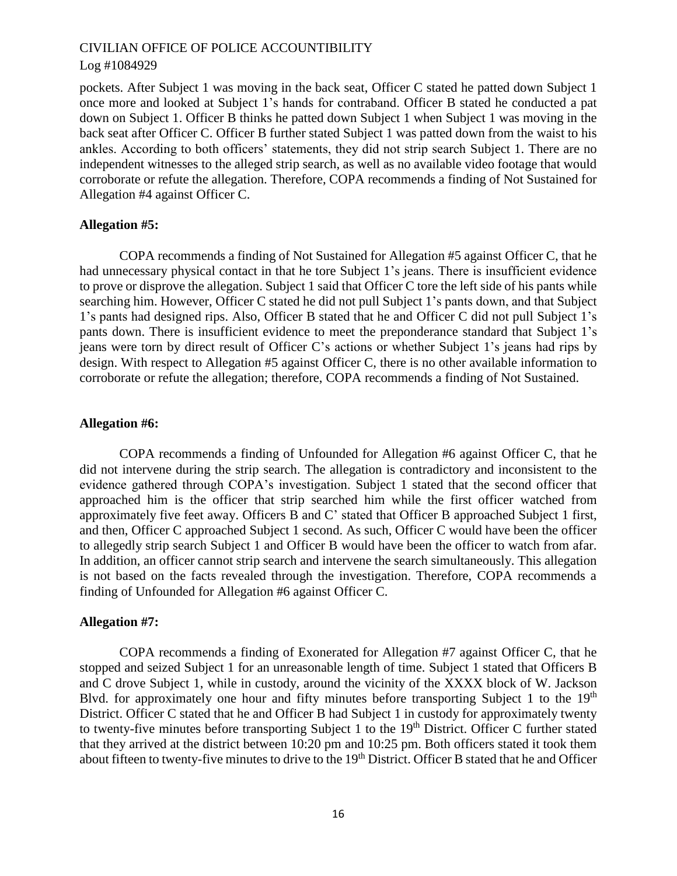## Log #1084929

pockets. After Subject 1 was moving in the back seat, Officer C stated he patted down Subject 1 once more and looked at Subject 1's hands for contraband. Officer B stated he conducted a pat down on Subject 1. Officer B thinks he patted down Subject 1 when Subject 1 was moving in the back seat after Officer C. Officer B further stated Subject 1 was patted down from the waist to his ankles. According to both officers' statements, they did not strip search Subject 1. There are no independent witnesses to the alleged strip search, as well as no available video footage that would corroborate or refute the allegation. Therefore, COPA recommends a finding of Not Sustained for Allegation #4 against Officer C.

## **Allegation #5:**

COPA recommends a finding of Not Sustained for Allegation #5 against Officer C, that he had unnecessary physical contact in that he tore Subject 1's jeans. There is insufficient evidence to prove or disprove the allegation. Subject 1 said that Officer C tore the left side of his pants while searching him. However, Officer C stated he did not pull Subject 1's pants down, and that Subject 1's pants had designed rips. Also, Officer B stated that he and Officer C did not pull Subject 1's pants down. There is insufficient evidence to meet the preponderance standard that Subject 1's jeans were torn by direct result of Officer C's actions or whether Subject 1's jeans had rips by design. With respect to Allegation #5 against Officer C, there is no other available information to corroborate or refute the allegation; therefore, COPA recommends a finding of Not Sustained.

## **Allegation #6:**

COPA recommends a finding of Unfounded for Allegation #6 against Officer C, that he did not intervene during the strip search. The allegation is contradictory and inconsistent to the evidence gathered through COPA's investigation. Subject 1 stated that the second officer that approached him is the officer that strip searched him while the first officer watched from approximately five feet away. Officers B and C' stated that Officer B approached Subject 1 first, and then, Officer C approached Subject 1 second. As such, Officer C would have been the officer to allegedly strip search Subject 1 and Officer B would have been the officer to watch from afar. In addition, an officer cannot strip search and intervene the search simultaneously. This allegation is not based on the facts revealed through the investigation. Therefore, COPA recommends a finding of Unfounded for Allegation #6 against Officer C.

## **Allegation #7:**

COPA recommends a finding of Exonerated for Allegation #7 against Officer C, that he stopped and seized Subject 1 for an unreasonable length of time. Subject 1 stated that Officers B and C drove Subject 1, while in custody, around the vicinity of the XXXX block of W. Jackson Blvd. for approximately one hour and fifty minutes before transporting Subject 1 to the  $19<sup>th</sup>$ District. Officer C stated that he and Officer B had Subject 1 in custody for approximately twenty to twenty-five minutes before transporting Subject 1 to the  $19<sup>th</sup>$  District. Officer C further stated that they arrived at the district between 10:20 pm and 10:25 pm. Both officers stated it took them about fifteen to twenty-five minutes to drive to the 19<sup>th</sup> District. Officer B stated that he and Officer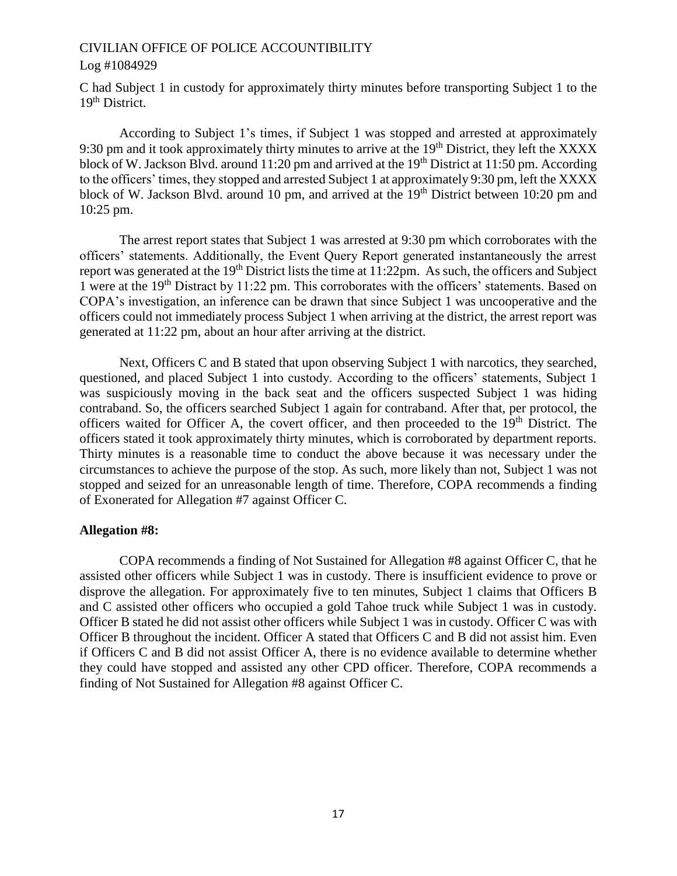## Log #1084929

C had Subject 1 in custody for approximately thirty minutes before transporting Subject 1 to the 19<sup>th</sup> District.

According to Subject 1's times, if Subject 1 was stopped and arrested at approximately 9:30 pm and it took approximately thirty minutes to arrive at the 19<sup>th</sup> District, they left the XXXX block of W. Jackson Blvd. around 11:20 pm and arrived at the 19<sup>th</sup> District at 11:50 pm. According to the officers' times, they stopped and arrested Subject 1 at approximately 9:30 pm, left the XXXX block of W. Jackson Blvd. around 10 pm, and arrived at the  $19<sup>th</sup>$  District between 10:20 pm and 10:25 pm.

The arrest report states that Subject 1 was arrested at 9:30 pm which corroborates with the officers' statements. Additionally, the Event Query Report generated instantaneously the arrest report was generated at the 19<sup>th</sup> District lists the time at 11:22pm. As such, the officers and Subject 1 were at the 19th Distract by 11:22 pm. This corroborates with the officers' statements. Based on COPA's investigation, an inference can be drawn that since Subject 1 was uncooperative and the officers could not immediately process Subject 1 when arriving at the district, the arrest report was generated at 11:22 pm, about an hour after arriving at the district.

Next, Officers C and B stated that upon observing Subject 1 with narcotics, they searched, questioned, and placed Subject 1 into custody. According to the officers' statements, Subject 1 was suspiciously moving in the back seat and the officers suspected Subject 1 was hiding contraband. So, the officers searched Subject 1 again for contraband. After that, per protocol, the officers waited for Officer A, the covert officer, and then proceeded to the 19<sup>th</sup> District. The officers stated it took approximately thirty minutes, which is corroborated by department reports. Thirty minutes is a reasonable time to conduct the above because it was necessary under the circumstances to achieve the purpose of the stop. As such, more likely than not, Subject 1 was not stopped and seized for an unreasonable length of time. Therefore, COPA recommends a finding of Exonerated for Allegation #7 against Officer C.

## **Allegation #8:**

COPA recommends a finding of Not Sustained for Allegation #8 against Officer C, that he assisted other officers while Subject 1 was in custody. There is insufficient evidence to prove or disprove the allegation. For approximately five to ten minutes, Subject 1 claims that Officers B and C assisted other officers who occupied a gold Tahoe truck while Subject 1 was in custody. Officer B stated he did not assist other officers while Subject 1 was in custody. Officer C was with Officer B throughout the incident. Officer A stated that Officers C and B did not assist him. Even if Officers C and B did not assist Officer A, there is no evidence available to determine whether they could have stopped and assisted any other CPD officer. Therefore, COPA recommends a finding of Not Sustained for Allegation #8 against Officer C.